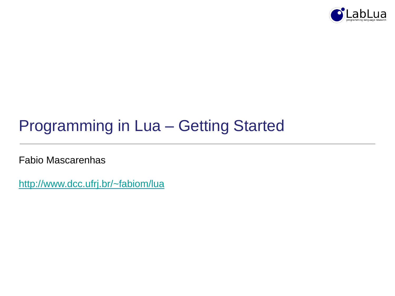

# Programming in Lua – Getting Started

Fabio Mascarenhas

<http://www.dcc.ufrj.br/~fabiom/lua>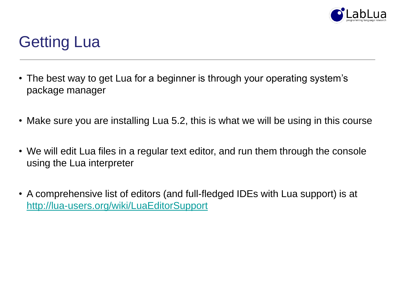

# Getting Lua

- The best way to get Lua for a beginner is through your operating system's package manager
- Make sure you are installing Lua 5.2, this is what we will be using in this course
- We will edit Lua files in a regular text editor, and run them through the console using the Lua interpreter
- A comprehensive list of editors (and full-fledged IDEs with Lua support) is at <http://lua-users.org/wiki/LuaEditorSupport>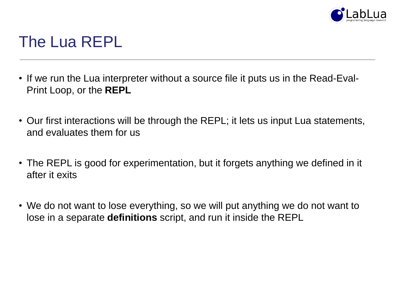

## The Lua REPL

- If we run the Lua interpreter without a source file it puts us in the Read-Eval-Print Loop, or the **REPL**
- Our first interactions will be through the REPL; it lets us input Lua statements, and evaluates them for us
- The REPL is good for experimentation, but it forgets anything we defined in it after it exits
- We do not want to lose everything, so we will put anything we do not want to lose in a separate **definitions** script, and run it inside the REPL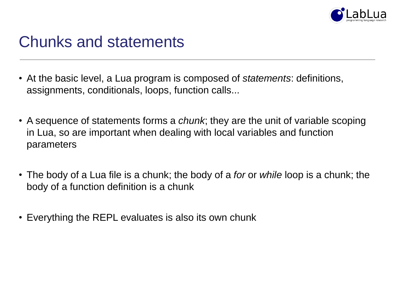

## Chunks and statements

- At the basic level, a Lua program is composed of *statements*: definitions, assignments, conditionals, loops, function calls...
- A sequence of statements forms a *chunk*; they are the unit of variable scoping in Lua, so are important when dealing with local variables and function parameters
- The body of a Lua file is a chunk; the body of a *for* or *while* loop is a chunk; the body of a function definition is a chunk
- Everything the REPL evaluates is also its own chunk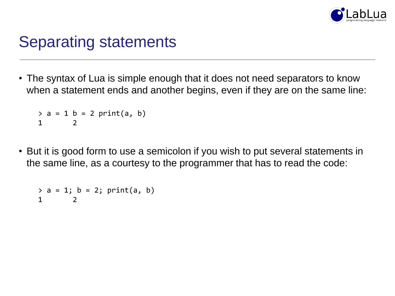

## Separating statements

• The syntax of Lua is simple enough that it does not need separators to know when a statement ends and another begins, even if they are on the same line:

```
> a = 1 b = 2 print(a, b)1 2
```
• But it is good form to use a semicolon if you wish to put several statements in the same line, as a courtesy to the programmer that has to read the code:

 $> a = 1; b = 2; print(a, b)$ 1 2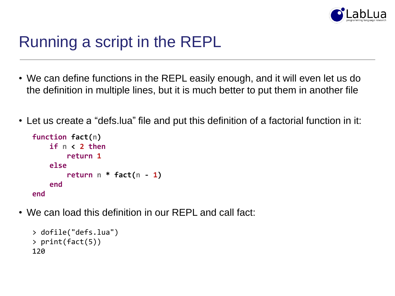

# Running a script in the REPL

- We can define functions in the REPL easily enough, and it will even let us do the definition in multiple lines, but it is much better to put them in another file
- Let us create a "defs.lua" file and put this definition of a factorial function in it:

```
function fact(n)
    if n < 2 then
        return 1
    else
        return n * fact(n - 1)
    end
end
```
• We can load this definition in our REPL and call fact:

```
> dofile("defs.lua")
> print(fact(5))
120
```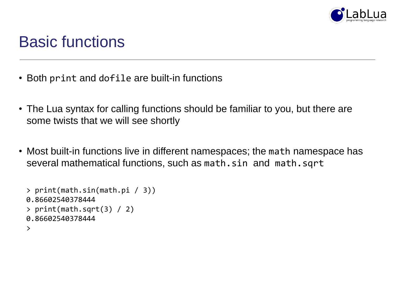

### Basic functions

- Both print and dofile are built-in functions
- The Lua syntax for calling functions should be familiar to you, but there are some twists that we will see shortly
- Most built-in functions live in different namespaces; the math namespace has several mathematical functions, such as math.sin and math.sqrt

```
> print(math.sin(math.pi / 3))
0.86602540378444
> print(math.sqrt(3) / 2)
0.86602540378444
\geq
```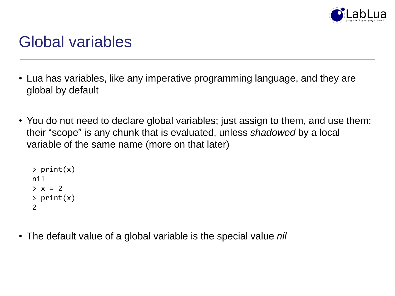

## Global variables

- Lua has variables, like any imperative programming language, and they are global by default
- You do not need to declare global variables; just assign to them, and use them; their "scope" is any chunk that is evaluated, unless *shadowed* by a local variable of the same name (more on that later)

```
> print(x)
nil
> x = 2> print(x)
2
```
• The default value of a global variable is the special value *nil*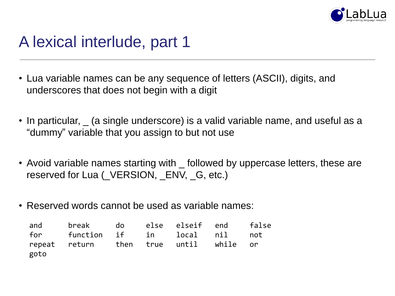

# A lexical interlude, part 1

- Lua variable names can be any sequence of letters (ASCII), digits, and underscores that does not begin with a digit
- In particular,  $\overline{\phantom{a}}$  (a single underscore) is a valid variable name, and useful as a "dummy" variable that you assign to but not use
- Avoid variable names starting with \_ followed by uppercase letters, these are reserved for Lua (\_VERSION, \_ENV, \_G, etc.)
- Reserved words cannot be used as variable names:

|      | and break do else elseif end false     |  |  |  |
|------|----------------------------------------|--|--|--|
|      | for function if in local nil not       |  |  |  |
| goto | repeat return then true until while or |  |  |  |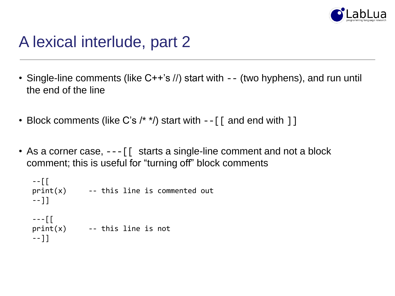

# A lexical interlude, part 2

- Single-line comments (like C++'s //) start with -- (two hyphens), and run until the end of the line
- Block comments (like C's  $\prime^*$ ) start with  $-$  [[ and end with ]]
- As a corner case,  $--$  [ starts a single-line comment and not a block comment; this is useful for "turning off" block comments

```
--[[
print(x) -- this line is commented out
--]]
--[[
print(x) -- this line is not
--]]
```